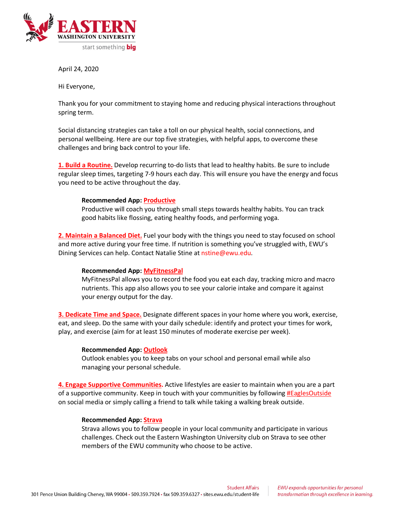

April 24, 2020

Hi Everyone,

Thank you for your commitment to staying home and reducing physical interactions throughout spring term.

Social distancing strategies can take a toll on our physical health, social connections, and personal wellbeing. Here are our top five strategies, with helpful apps, to overcome these challenges and bring back control to your life.

**1. Build a Routine.** Develop recurring to-do lists that lead to healthy habits. Be sure to include regular sleep times, targeting 7-9 hours each day. This will ensure you have the energy and focus you need to be active throughout the day.

## **Recommended App: Productive**

Productive will coach you through small steps towards healthy habits. You can track good habits like flossing, eating healthy foods, and performing yoga.

**2. Maintain a Balanced Diet.** Fuel your body with the things you need to stay focused on school and more active during your free time. If nutrition is something you've struggled with, EWU's Dining Services can help. Contact Natalie Stine at nstine@ewu.edu.

# **Recommended App: MyFitnessPal**

MyFitnessPal allows you to record the food you eat each day, tracking micro and macro nutrients. This app also allows you to see your calorie intake and compare it against your energy output for the day.

**3. Dedicate Time and Space.** Designate different spaces in your home where you work, exercise, eat, and sleep. Do the same with your daily schedule: identify and protect your times for work, play, and exercise (aim for at least 150 minutes of moderate exercise per week).

#### **Recommended App: Outlook**

Outlook enables you to keep tabs on your school and personal email while also managing your personal schedule.

**4. Engage Supportive Communities.** Active lifestyles are easier to maintain when you are a part of a supportive community. Keep in touch with your communities by following #EaglesOutside on social media or simply calling a friend to talk while taking a walking break outside.

#### **Recommended App: Strava**

Strava allows you to follow people in your local community and participate in various challenges. Check out the Eastern Washington University club on Strava to see other members of the EWU community who choose to be active.